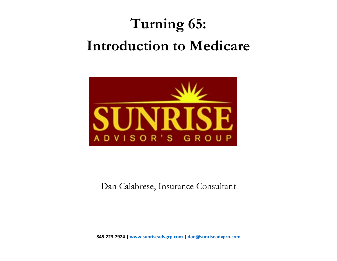### **Turning 65: Introduction to Medicare**



Dan Calabrese, Insurance Consultant

**845.223.7924 | [www.sunriseadvgrp.com](http://www.sunriseadvgrp.com/) | [dan@sunriseadvgrp.com](mailto:dan@sunriseadvgrp.com)**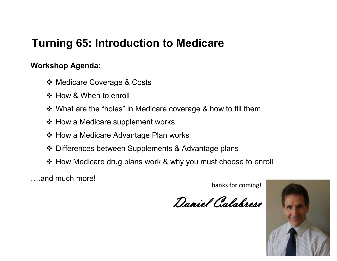#### **Turning 65: Introduction to Medicare**

#### **Workshop Agenda:**

- ❖ Medicare Coverage & Costs
- ❖ How & When to enroll
- What are the "holes" in Medicare coverage & how to fill them
- ❖ How a Medicare supplement works
- ❖ How a Medicare Advantage Plan works
- Differences between Supplements & Advantage plans
- ❖ How Medicare drug plans work & why you must choose to enroll

….and much more!

Thanks for coming!

Daniel Calabrese

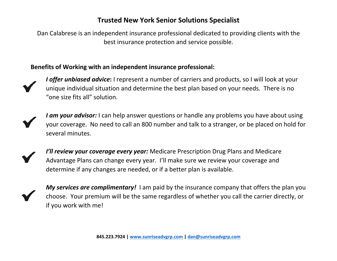#### **Trusted New York Senior Solutions Specialist**

Dan Calabrese is an independent insurance professional dedicated to providing clients with the best insurance protection and service possible.

#### **Benefits of Working with an independent insurance professional:**



*I offer unbiased advice***:** I represent <sup>a</sup> number of carriers and products, so I will look at your unique individual situation and determine the best plan based on your needs. There is no "one size fits all" solution.



*I am your advisor:* I can help answer questions or handle any problems you have about using your coverage. No need to call an 800 number and talk to <sup>a</sup> stranger, or be placed on hold for several minutes.



*I'll review your coverage every year:* Medicare Prescription Drug Plans and Medicare Advantage Plans can change every year. I'll make sure we review your coverage and determine if any changes are needed, or if <sup>a</sup> better plan is available.

*My services are complimentary!* I am paid by the insurance company that offers the plan you choose. Your premium will be the same regardless of whether you call the carrier directly, or if you work with me!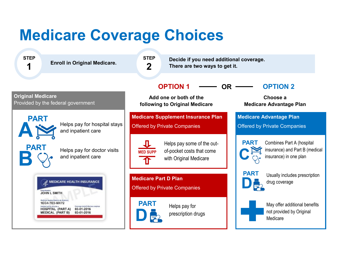### **Medicare Coverage Choices**

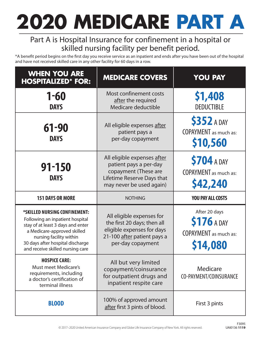## **2020 MEDICARE PART A**

#### Part A is Hospital Insurance for confinement in a hospital or skilled nursing facility per benefit period.

\*A benefit period begins on the first day you receive service as an inpatient and ends after you have been out of the hospital and have not received skilled care in any other facility for 60 days in a row.

| <b>WHEN YOU ARE</b><br><b>HOSPITALIZED* FOR:</b>                                                                                     | <b>MEDICARE COVERS</b>                                                                                                                  | <b>YOU PAY</b>                                                 |
|--------------------------------------------------------------------------------------------------------------------------------------|-----------------------------------------------------------------------------------------------------------------------------------------|----------------------------------------------------------------|
| $1 - 60$<br><b>DAYS</b>                                                                                                              | Most confinement costs<br>after the required<br>Medicare deductible                                                                     | \$1,408<br><b>DEDUCTIBLE</b>                                   |
| 61-90<br><b>DAYS</b>                                                                                                                 | All eligible expenses after<br>patient pays a<br>per-day copayment                                                                      | <b>\$352 A DAY</b><br><b>COPAYMENT</b> as much as:<br>\$10,560 |
| $91 - 150$<br><b>DAYS</b>                                                                                                            | All eligible expenses after<br>patient pays a per-day<br>copayment (These are<br>Lifetime Reserve Days that<br>may never be used again) | \$704 A DAY<br><b>COPAYMENT</b> as much as:<br>\$42,240        |
| <b>151 DAYS OR MORE</b>                                                                                                              | <b>NOTHING</b>                                                                                                                          | <b>YOU PAY ALL COSTS</b>                                       |
| *SKILLED NURSING CONFINEMENT:<br>Following an inpatient hospital<br>stay of at least 3 days and enter<br>a Medicare-approved skilled | All eligible expenses for<br>the first 20 days; then all<br>eligible expenses for days                                                  | After 20 days<br>\$176 A DAY                                   |
| nursing facility within<br>30 days after hospital discharge<br>and receive skilled nursing care                                      | 21-100 after patient pays a<br>per-day copayment                                                                                        | <b>COPAYMENT</b> as much as:<br>\$14,080                       |
| <b>HOSPICE CARE:</b><br><b>Must meet Medicare's</b><br>requirements, including<br>a doctor's certification of<br>terminal illness    | All but very limited<br>copayment/coinsurance<br>for outpatient drugs and<br>inpatient respite care                                     | Medicare<br>CO-PAYMENT/COINSURANCE                             |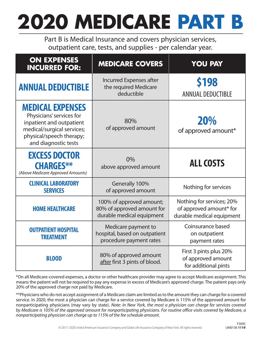## **2020 MEDICARE PART B**

Part B is Medical Insurance and covers physician services, outpatient care, tests, and supplies - per calendar year.

| <b>ON EXPENSES</b><br><b>INCURRED FOR:</b>                                                                                                                        | <b>MEDICARE COVERS</b>                                                              | <b>YOU PAY</b>                                                                    |
|-------------------------------------------------------------------------------------------------------------------------------------------------------------------|-------------------------------------------------------------------------------------|-----------------------------------------------------------------------------------|
| <b>ANNUAL DEDUCTIBLE</b>                                                                                                                                          | <b>Incurred Expenses after</b><br>the required Medicare<br>deductible               | \$198<br><b>ANNUAL DEDUCTIBLE</b>                                                 |
| <b>MEDICAL EXPENSES</b><br>Physicians' services for<br>inpatient and outpatient<br>medical/surgical services;<br>physical/speech therapy;<br>and diagnostic tests | 80%<br>of approved amount                                                           | 20%<br>of approved amount*                                                        |
| <b>EXCESS DOCTOR</b><br><b>CHARGES**</b><br>(Above Medicare Approved Amounts)                                                                                     | 0%<br>above approved amount                                                         | <b>ALL COSTS</b>                                                                  |
| <b>CLINICAL LABORATORY</b><br><b>SERVICES</b>                                                                                                                     | Generally 100%<br>of approved amount                                                | Nothing for services                                                              |
| <b>HOME HEALTHCARE</b>                                                                                                                                            | 100% of approved amount;<br>80% of approved amount for<br>durable medical equipment | Nothing for services; 20%<br>of approved amount* for<br>durable medical equipment |
| <b>OUTPATIENT HOSPITAL</b><br><b>TREATMENT</b>                                                                                                                    | Medicare payment to<br>hospital, based on outpatient<br>procedure payment rates     | Coinsurance based<br>on outpatient<br>payment rates                               |
| <b>BLOOD</b>                                                                                                                                                      | 80% of approved amount<br>after first 3 pints of blood.                             |                                                                                   |

\*On all Medicare-covered expenses, a doctor or other healthcare provider may agree to accept Medicare assignment. This means the patient will not be required to pay any expense in excess of Medicare's approved charge. The patient pays only 20% of the approved charge not paid by Medicare.

\*\*Physicians who do not accept assignment of a Medicare claim are limited as to the amount they can charge for a covered service. In 2020, the most a physician can charge for a service covered by Medicare is 115% of the approved amount for nonparticipating physicians (may vary by state). *Note: In New York, the most a physician can charge for services covered by Medicare is 105% of the approved amount for nonparticipating physicians. For routine office visits covered by Medicare, a nonparticipating physician can charge up to 115% of the fee schedule amount.*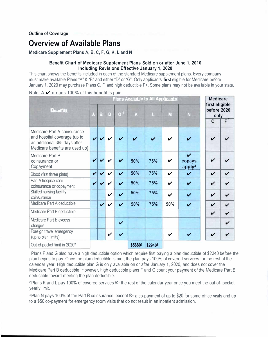#### **Overview of Available Plans**

**Medicare Supplement Plans A, B, C, F, G, K, Land N** 

#### **Benefit Chart of Medicare Supplement Plans Sold** on **or after June 1, 2010 Including Revisions Effective January 1, 2020**

This chart shows the benefits included in each of the standard Medicare supplement plans. Every company must make available Plans "A" & "B" and either "D" or "G". Only applicants' **first** eligible for Medicare before January 1, 2020 may purchase Plans C, F, and high deductible F+. Some plans may not be available in your state.

Note:  $A \nightharpoonup$  means 100% of this benefit is paid.

|                                                                                                                               | Plans Available to All Applicants |                            |                    |                    |         | <b>Medicare</b><br>first eligible |                            |                                                            |                                       |                    |
|-------------------------------------------------------------------------------------------------------------------------------|-----------------------------------|----------------------------|--------------------|--------------------|---------|-----------------------------------|----------------------------|------------------------------------------------------------|---------------------------------------|--------------------|
| <b>Benefits</b>                                                                                                               |                                   | $\mathbf{B}$               | D                  | $G^+$              | K       |                                   | м                          |                                                            | before 2020<br>only<br>$\overline{C}$ | F <sup>T</sup>     |
| Medicare Part A coinsurance<br>and hospital coverage (up to<br>an additional 365 days after<br>Medicare benefits are used up) |                                   |                            | ✔                  |                    |         |                                   | ✔                          |                                                            | ✔                                     |                    |
| Medicare Part B<br>coinsurance or<br>Copayment                                                                                |                                   |                            | ✔                  |                    | 50%     | 75%                               | V                          | $\boldsymbol{\mathcal{U}}$<br>copays<br>apply <sup>3</sup> | ✓                                     |                    |
| Blood (first three pints)                                                                                                     | $\boldsymbol{\mathcal{U}}$        | $\boldsymbol{\mathcal{U}}$ | ✓                  | $\boldsymbol{\nu}$ | 50%     | 75%                               | $\boldsymbol{\mathcal{U}}$ | $\boldsymbol{\mathcal{U}}$                                 | V                                     | $\checkmark$       |
| Part A hospice care<br>coinsurance or copayment                                                                               | $\boldsymbol{\nu}$                | ✓                          | ✓                  | $\boldsymbol{\nu}$ | 50%     | 75%                               | $\boldsymbol{\nu}$         | $\boldsymbol{\mathcal{U}}$                                 | V                                     | ✓                  |
| Skilled nursing facility<br>coinsurance                                                                                       |                                   |                            | $\boldsymbol{\nu}$ | $\boldsymbol{\nu}$ | 50%     | 75%                               | $\boldsymbol{\nu}$         | V                                                          | $\checkmark$                          | $\boldsymbol{\nu}$ |
| Medicare Part A deductible                                                                                                    |                                   | $\checkmark$               | V                  | $\checkmark$       | 50%     | 75%                               | 50%                        | $\boldsymbol{\mathcal{U}}$                                 | $\checkmark$                          | $\mathbf v$        |
| Medicare Part B deductible                                                                                                    |                                   |                            |                    |                    |         |                                   |                            |                                                            | $\boldsymbol{\nu}$                    | $\checkmark$       |
| Medicare Part B excess<br>charges                                                                                             |                                   |                            |                    | $\checkmark$       |         |                                   |                            |                                                            |                                       | V                  |
| Foreign travel emergency<br>(up to plan limits)                                                                               |                                   |                            | ✔                  | $\boldsymbol{\nu}$ |         |                                   | $\boldsymbol{\nu}$         | $\boldsymbol{\nu}$                                         | $\checkmark$                          |                    |
| Out-of-pocket limit in 2020 <sup>2</sup>                                                                                      |                                   |                            |                    |                    | \$58802 | \$29402                           |                            |                                                            |                                       |                    |

1 Plans F and G also have a high deductible option which require first paying a plan deductible of \$2340 before the plan begins to pay. Once the plan deductible is met, the plan pays 100% of covered services for the rest of the calendar year. High deductible plan G is only available on or after January 1, 2020, and does not cover the Medicare Part B deductible. However, high deductible plans F and G count your payment of the Medicare Part B deductible toward meeting the plan deductible.

2 Plans K and L pay 100% of covered services for the rest of the calendar year once you meet the out-of- pocket yearly limit.

<sup>3</sup> Plan N pays 100% of the Part B coinsurance, except for a co-payment of up to \$20 for some office visits and up to a \$50 co-payment for emergency room visits that do not result in an inpatient admission.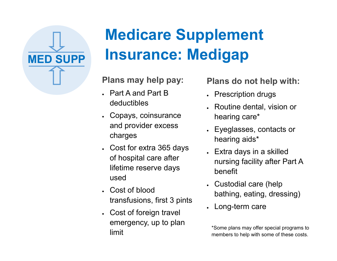

## **Medicare Supplement MED SUPP Insurance: Medigap**

**Plans may help pay:**

- Part A and Part B deductibles
- Copays, coinsurance and provider excess charges
- Cost for extra 365 days of hospital care after lifetime reserve days used
- Cost of blood transfusions, first 3 pints
- Cost of foreign travel emergency, up to plan limit

#### **Plans do not help with:**

- Prescription drugs
- Routine dental, vision or hearing care\*
- Eyeglasses, contacts or hearing aids\*
- Extra days in a skilled nursing facility after Part A benefit
- Custodial care (help bathing, eating, dressing)
- Long-term care

\*Some plans may offer special programs to members to help with some of these costs.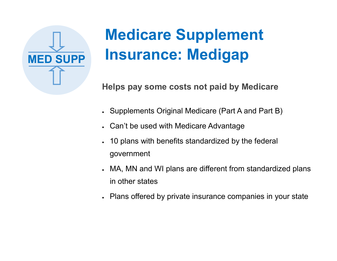

## **Medicare Supplement MED SUPP Insurance: Medigap**

**Helps pay some costs not paid by Medicare**

- Supplements Original Medicare (Part A and Part B)
- Can't be used with Medicare Advantage
- 10 plans with benefits standardized by the federal government
- MA, MN and WI plans are different from standardized plans in other states
- Plans offered by private insurance companies in your state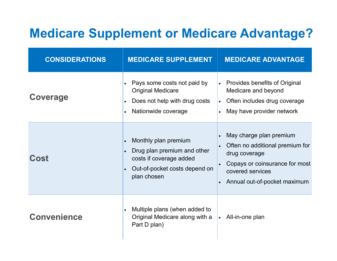#### **Medicare Supplement or Medicare Advantage?**

| <b>CONSIDERATIONS</b> | <b>MEDICARE SUPPLEMENT</b>                                                                                                                               | <b>MEDICARE ADVANTAGE</b>                                                                                                                                                                   |
|-----------------------|----------------------------------------------------------------------------------------------------------------------------------------------------------|---------------------------------------------------------------------------------------------------------------------------------------------------------------------------------------------|
| <b>Coverage</b>       | Pays some costs not paid by<br><b>Original Medicare</b><br>Does not help with drug costs<br>$\bullet$<br>Nationwide coverage<br>$\bullet$                | <b>Provides benefits of Original</b><br>Medicare and beyond<br>Often includes drug coverage<br>$\bullet$<br>May have provider network                                                       |
| Cost                  | Monthly plan premium<br>$\bullet$<br>Drug plan premium and other<br>$\bullet$<br>costs if coverage added<br>Out-of-pocket costs depend on<br>plan chosen | May charge plan premium<br>$\bullet$<br>Often no additional premium for<br>drug coverage<br>Copays or coinsurance for most<br>covered services<br>Annual out-of-pocket maximum<br>$\bullet$ |
| <b>Convenience</b>    | Multiple plans (when added to<br>$\bullet$<br>Original Medicare along with a<br>Part D plan)                                                             | • All-in-one plan                                                                                                                                                                           |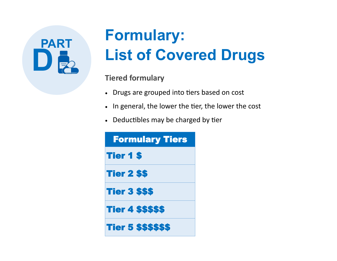# **PART**

## **Formulary: List of Covered Drugs**

#### **Tiered formulary**

- Drugs are grouped into tiers based on cost
- In general, the lower the tier, the lower the cost
- Deductibles may be charged by tier

| <b>Formulary Tiers</b>     |
|----------------------------|
| <b>Tier 1 \$</b>           |
| <b>Tier 2 \$\$</b>         |
| <b>Tier 3 \$\$\$</b>       |
| <b>Tier 4 \$\$\$\$\$</b>   |
| <b>Tier 5 \$\$\$\$\$\$</b> |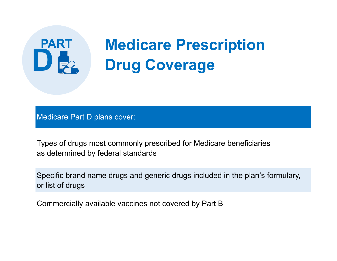## **Medicare Prescription<br>
<b>Drug Coverage**

Medicare Part D plans cover:

**PART**

Types of drugs most commonly prescribed for Medicare beneficiaries as determined by federal standards

Specific brand name drugs and generic drugs included in the plan's formulary, or list of drugs

Commercially available vaccines not covered by Part B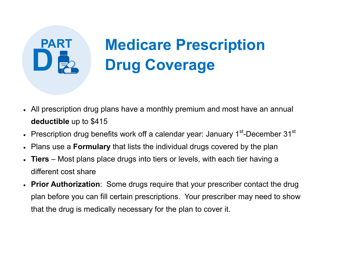## **Medicare Prescription<br>Drug Coverage**

- All prescription drug plans have a monthly premium and most have an annual **deductible** up to \$415
- Prescription drug benefits work off a calendar year: January 1 $^{\rm st}$ -December 31 $^{\rm st}$
- Plans use a **Formulary** that lists the individual drugs covered by the plan

**PART**

- **Tiers** Most plans place drugs into tiers or levels, with each tier having a different cost share
- **Prior Authorization**: Some drugs require that your prescriber contact the drug plan before you can fill certain prescriptions. Your prescriber may need to show that the drug is medically necessary for the plan to cover it.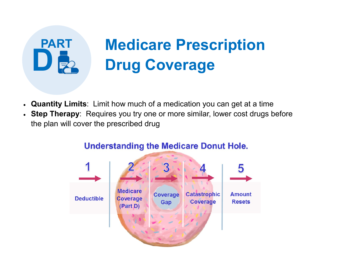## **Medicare Prescription<br>
D B** Drug Coverage

• **Quantity Limits**: Limit how much of a medication you can get at a time

**PART**

• **Step Therapy**: Requires you try one or more similar, lower cost drugs before the plan will cover the prescribed drug



#### **Understanding the Medicare Donut Hole.**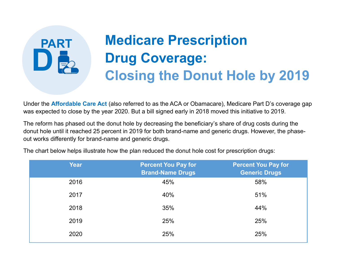## **Medicare Prescription Drug Coverage:<br>
<b>Closing the Donut Hole by 2019**

Under the **Affordable Care Act** (also referred to as the ACA or Obamacare), Medicare Part D's coverage gap was expected to close by the year 2020. But a bill signed early in 2018 moved this initiative to 2019.

The reform has phased out the donut hole by decreasing the beneficiary's share of drug costs during the donut hole until it reached 25 percent in 2019 for both brand-name and generic drugs. However, the phaseout works differently for brand-name and generic drugs.

| <b>Year</b> | <b>Percent You Pay for</b><br><b>Brand-Name Drugs</b> | <b>Percent You Pay for</b><br><b>Generic Drugs</b> |
|-------------|-------------------------------------------------------|----------------------------------------------------|
| 2016        | 45%                                                   | 58%                                                |
| 2017        | 40%                                                   | 51%                                                |
| 2018        | 35%                                                   | 44%                                                |
| 2019        | 25%                                                   | 25%                                                |
| 2020        | 25%                                                   | 25%                                                |
|             |                                                       |                                                    |

The chart below helps illustrate how the plan reduced the donut hole cost for prescription drugs:

**PART**